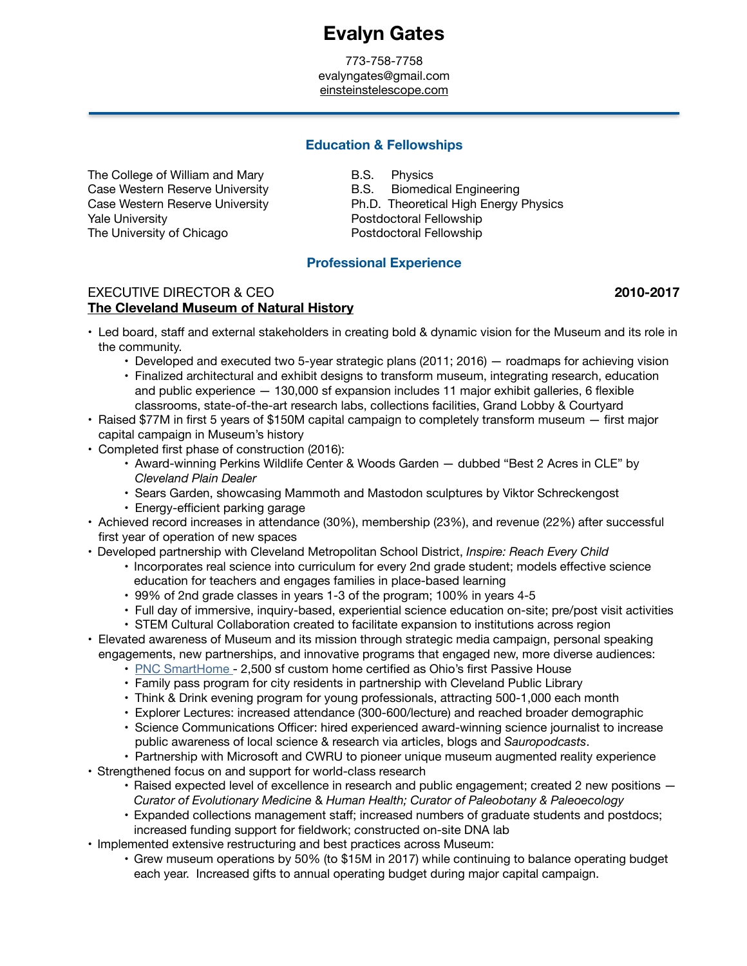# **Evalyn Gates**

773-758-7758 evalyngates@gmail.com [einsteinstelescope.com](http://einsteinstelescope.com)

# **Education & Fellowships**

The College of William and Mary **B.S.** Physics Case Western Reserve University **B.S.** Biomedical Engineering Yale University *Yale University Mate University Mate University Mate University* The University of Chicago

Case Western Reserve University **Example 2 Ph.D.** Theoretical High Energy Physics Postdoctoral Fellowship

### **Professional Experience**

# EXECUTIVE DIRECTOR & CEO **8 12010-2017 2010-2017 [The Cleveland Museum of Natural History](https://www.cmnh.org)**

- Led board, staff and external stakeholders in creating bold & dynamic vision for the Museum and its role in the community.
	- Developed and executed two 5-year strategic plans (2011; 2016) roadmaps for achieving vision
	- Finalized architectural and exhibit designs to transform museum, integrating research, education and public experience — 130,000 sf expansion includes 11 major exhibit galleries, 6 flexible classrooms, state-of-the-art research labs, collections facilities, Grand Lobby & Courtyard
- Raised \$77M in first 5 years of \$150M capital campaign to completely transform museum first major capital campaign in Museum's history
- Completed first phase of construction (2016):
	- Award-winning Perkins Wildlife Center & Woods Garden dubbed "Best 2 Acres in CLE" by *Cleveland Plain Dealer*
	- Sears Garden, showcasing Mammoth and Mastodon sculptures by Viktor Schreckengost
	- Energy-efficient parking garage
- Achieved record increases in attendance (30%), membership (23%), and revenue (22%) after successful first year of operation of new spaces
- Developed partnership with Cleveland Metropolitan School District, *Inspire: Reach Every Child* 
	- Incorporates real science into curriculum for every 2nd grade student; models effective science education for teachers and engages families in place-based learning
	- 99% of 2nd grade classes in years 1-3 of the program; 100% in years 4-5
	- Full day of immersive, inquiry-based, experiential science education on-site; pre/post visit activities
	- STEM Cultural Collaboration created to facilitate expansion to institutions across region
- Elevated awareness of Museum and its mission through strategic media campaign, personal speaking engagements, new partnerships, and innovative programs that engaged new, more diverse audiences:
	- [PNC SmartHome -](https://www.cmnh.org/science-news/announcements/passive-house-certification) 2,500 sf custom home certified as Ohio's first Passive House
	- Family pass program for city residents in partnership with Cleveland Public Library
	- Think & Drink evening program for young professionals, attracting 500-1,000 each month
	- Explorer Lectures: increased attendance (300-600/lecture) and reached broader demographic
	- Science Communications Officer: hired experienced award-winning science journalist to increase public awareness of local science & research via articles, blogs and *Sauropodcasts*.
	- Partnership with Microsoft and CWRU to pioneer unique museum augmented reality experience
- Strengthened focus on and support for world-class research
	- Raised expected level of excellence in research and public engagement; created 2 new positions *Curator of Evolutionary Medicine* & *Human Health; Curator of Paleobotany & Paleoecology*
	- Expanded collections management staff; increased numbers of graduate students and postdocs; increased funding support for fieldwork; *c*onstructed on-site DNA lab
- Implemented extensive restructuring and best practices across Museum:
	- Grew museum operations by 50% (to \$15M in 2017) while continuing to balance operating budget each year. Increased gifts to annual operating budget during major capital campaign.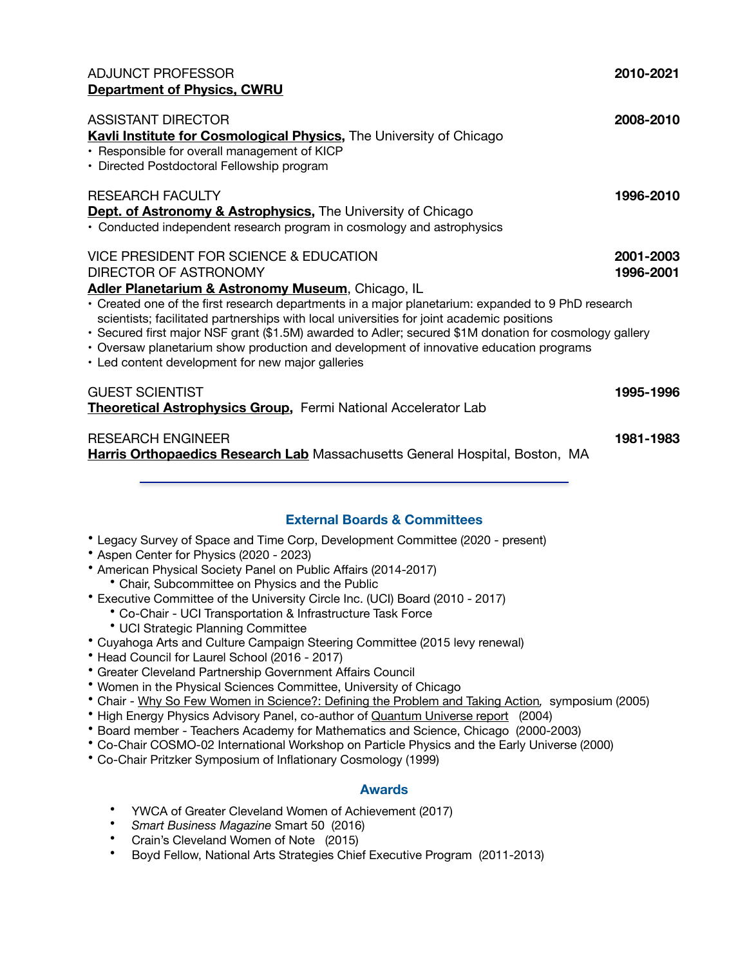# ADJUNCT PROFESSOR **2010-2021 [Department of Physics, CWRU](https://physics.case.edu)**

| <b>ASSISTANT DIRECTOR</b><br>Kavli Institute for Cosmological Physics, The University of Chicago<br>• Responsible for overall management of KICP<br>• Directed Postdoctoral Fellowship program                                                                                                                                                                                                                                                                                                                              | 2008-2010              |
|-----------------------------------------------------------------------------------------------------------------------------------------------------------------------------------------------------------------------------------------------------------------------------------------------------------------------------------------------------------------------------------------------------------------------------------------------------------------------------------------------------------------------------|------------------------|
| <b>RESEARCH FACULTY</b><br><b>Dept. of Astronomy &amp; Astrophysics, The University of Chicago</b><br>• Conducted independent research program in cosmology and astrophysics                                                                                                                                                                                                                                                                                                                                                | 1996-2010              |
| VICE PRESIDENT FOR SCIENCE & EDUCATION<br>DIRECTOR OF ASTRONOMY<br>Adler Planetarium & Astronomy Museum, Chicago, IL<br>• Created one of the first research departments in a major planetarium: expanded to 9 PhD research<br>scientists; facilitated partnerships with local universities for joint academic positions<br>• Secured first major NSF grant (\$1.5M) awarded to Adler; secured \$1M donation for cosmology gallery<br>• Oversaw planetarium show production and development of innovative education programs | 2001-2003<br>1996-2001 |
| • Led content development for new major galleries<br><b>GUEST SCIENTIST</b><br>Theoretical Astrophysics Group, Fermi National Accelerator Lab                                                                                                                                                                                                                                                                                                                                                                               | 1995-1996              |
| <b>RESEARCH ENGINEER</b><br><b>Harris Orthopaedics Research Lab</b> Massachusetts General Hospital, Boston, MA                                                                                                                                                                                                                                                                                                                                                                                                              | 1981-1983              |

# **External Boards & Committees**

- Legacy Survey of Space and Time Corp, Development Committee (2020 present)
- Aspen Center for Physics (2020 2023)
- American Physical Society Panel on Public Affairs (2014-2017)
	- Chair, Subcommittee on Physics and the Public
- Executive Committee of the University Circle Inc. (UCI) Board (2010 2017)
	- Co-Chair UCI Transportation & Infrastructure Task Force
	- UCI Strategic Planning Committee
- Cuyahoga Arts and Culture Campaign Steering Committee (2015 levy renewal)
- Head Council for Laurel School (2016 2017)
- Greater Cleveland Partnership Government Affairs Council
- Women in the Physical Sciences Committee, University of Chicago
- Chair - [Why So Few Women in Science?: Defining the Problem and Taking Action](http://www-news.uchicago.edu/releases/05/050510.women-science.shtml)*,* symposium (2005)
- High Energy Physics Advisory Panel, co-author of [Quantum Universe report](http://www.interactions.org/sites/default/files/2017-03/Quantum_Universe_GR_SP.pdf) (2004)
- Board member Teachers Academy for Mathematics and Science, Chicago (2000-2003)
- Co-Chair COSMO-02 International Workshop on Particle Physics and the Early Universe (2000)
- Co-Chair Pritzker Symposium of Inflationary Cosmology (1999)

#### **Awards**

- YWCA of Greater Cleveland Women of Achievement (2017)
- *Smart Business Magazine* Smart 50 (2016)
- Crain's Cleveland Women of Note (2015)
- Boyd Fellow, National Arts Strategies Chief Executive Program (2011-2013)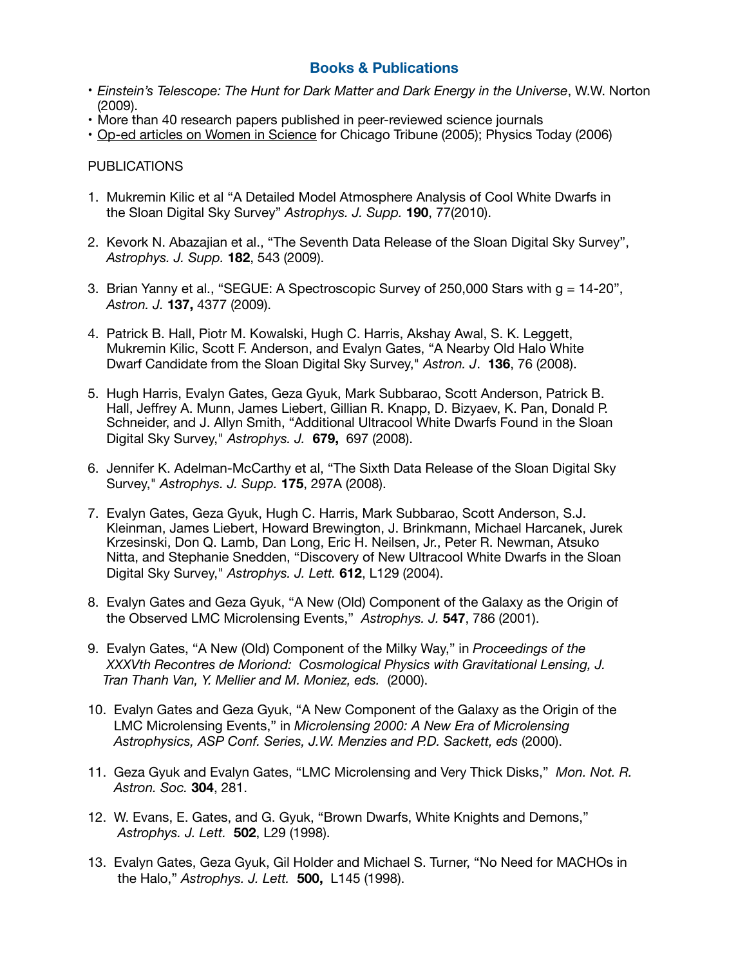# **Books & Publications**

- *Einstein's Telescope: The Hunt for Dark Matter and Dark Energy in the Universe*, W.W. Norton (2009).
- More than 40 research papers published in peer-reviewed science journals
- [Op-ed articles on Women in Science](https://www.einsteinstelescope.com/select-publications) for Chicago Tribune (2005); Physics Today (2006)

#### PUBLICATIONS

- 1. Mukremin Kilic et al "A Detailed Model Atmosphere Analysis of Cool White Dwarfs in the Sloan Digital Sky Survey" *Astrophys. J. Supp.* **190**, 77(2010).
- 2. Kevork N. Abazajian et al., "The Seventh Data Release of the Sloan Digital Sky Survey", *Astrophys. J. Supp.* **182**, 543 (2009).
- 3. Brian Yanny et al., "SEGUE: A Spectroscopic Survey of 250,000 Stars with g = 14-20",  *Astron. J.* **137,** 4377 (2009).
- 4. Patrick B. Hall, Piotr M. Kowalski, Hugh C. Harris, Akshay Awal, S. K. Leggett, Mukremin Kilic, Scott F. Anderson, and Evalyn Gates, "A Nearby Old Halo White Dwarf Candidate from the Sloan Digital Sky Survey," *Astron. J*. **136**, 76 (2008).
- 5. Hugh Harris, Evalyn Gates, Geza Gyuk, Mark Subbarao, Scott Anderson, Patrick B. Hall, Jeffrey A. Munn, James Liebert, Gillian R. Knapp, D. Bizyaev, K. Pan, Donald P. Schneider, and J. Allyn Smith, "Additional Ultracool White Dwarfs Found in the Sloan Digital Sky Survey," *Astrophys. J.* **679,** 697 (2008).
- 6. Jennifer K. Adelman-McCarthy et al, "The Sixth Data Release of the Sloan Digital Sky Survey," *Astrophys. J. Supp.* **175**, 297A (2008).
- 7. Evalyn Gates, Geza Gyuk, Hugh C. Harris, Mark Subbarao, Scott Anderson, S.J. Kleinman, James Liebert, Howard Brewington, J. Brinkmann, Michael Harcanek, Jurek Krzesinski, Don Q. Lamb, Dan Long, Eric H. Neilsen, Jr., Peter R. Newman, Atsuko Nitta, and Stephanie Snedden, "Discovery of New Ultracool White Dwarfs in the Sloan Digital Sky Survey," *Astrophys. J. Lett.* **612**, L129 (2004).
- 8. Evalyn Gates and Geza Gyuk, "A New (Old) Component of the Galaxy as the Origin of the Observed LMC Microlensing Events," *Astrophys. J.* **547**, 786 (2001).
- 9. Evalyn Gates, "A New (Old) Component of the Milky Way," in *Proceedings of the XXXVth Recontres de Moriond: Cosmological Physics with Gravitational Lensing, J. Tran Thanh Van, Y. Mellier and M. Moniez, eds.* (2000).
- 10. Evalyn Gates and Geza Gyuk, "A New Component of the Galaxy as the Origin of the LMC Microlensing Events," in *Microlensing 2000: A New Era of Microlensing Astrophysics, ASP Conf. Series, J.W. Menzies and P.D. Sackett, eds* (2000).
- 11. Geza Gyuk and Evalyn Gates, "LMC Microlensing and Very Thick Disks," *Mon. Not. R. Astron. Soc.* **304**, 281.
- 12. W. Evans, E. Gates, and G. Gyuk, "Brown Dwarfs, White Knights and Demons," *Astrophys. J. Lett.* **502**, L29 (1998).
- 13. Evalyn Gates, Geza Gyuk, Gil Holder and Michael S. Turner, "No Need for MACHOs in the Halo," *Astrophys. J. Lett.* **500,** L145 (1998).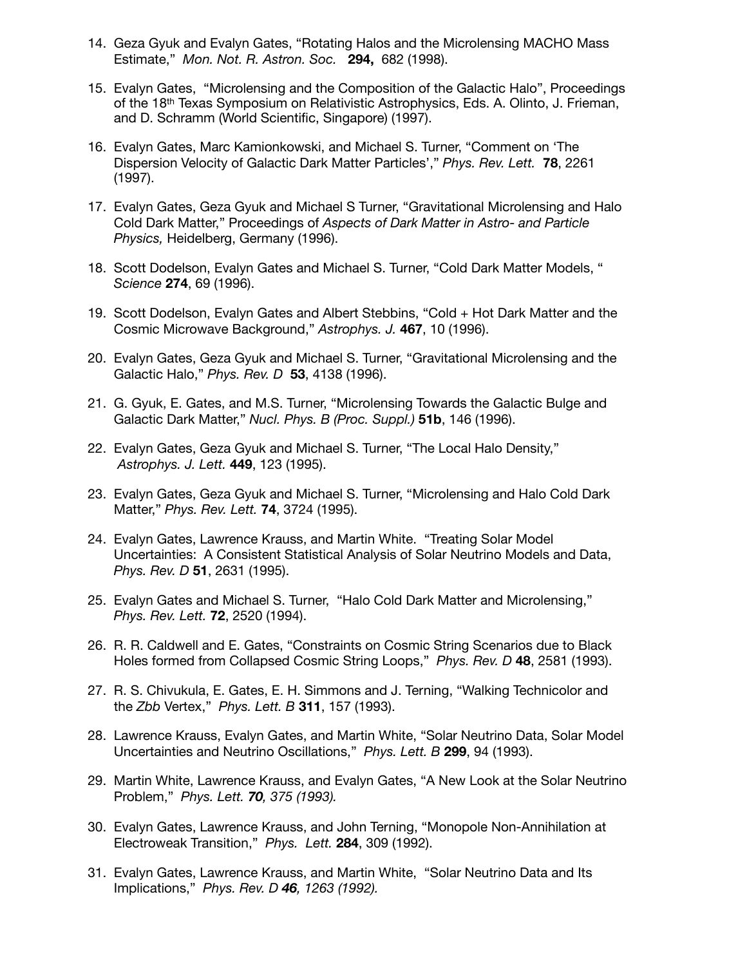- 14. Geza Gyuk and Evalyn Gates, "Rotating Halos and the Microlensing MACHO Mass Estimate," *Mon. Not. R. Astron. Soc.* **294,** 682 (1998).
- 15. Evalyn Gates, "Microlensing and the Composition of the Galactic Halo", Proceedings of the 18th Texas Symposium on Relativistic Astrophysics, Eds. A. Olinto, J. Frieman, and D. Schramm (World Scientific, Singapore) (1997).
- 16. Evalyn Gates, Marc Kamionkowski, and Michael S. Turner, "Comment on 'The Dispersion Velocity of Galactic Dark Matter Particles'," *Phys. Rev. Lett.* **78**, 2261 (1997).
- 17. Evalyn Gates, Geza Gyuk and Michael S Turner, "Gravitational Microlensing and Halo Cold Dark Matter," Proceedings of *Aspects of Dark Matter in Astro- and Particle Physics,* Heidelberg, Germany (1996).
- 18. Scott Dodelson, Evalyn Gates and Michael S. Turner, "Cold Dark Matter Models, " *Science* **274**, 69 (1996).
- 19. Scott Dodelson, Evalyn Gates and Albert Stebbins, "Cold + Hot Dark Matter and the Cosmic Microwave Background," *Astrophys. J.* **467**, 10 (1996).
- 20. Evalyn Gates, Geza Gyuk and Michael S. Turner, "Gravitational Microlensing and the Galactic Halo," *Phys. Rev. D* **53**, 4138 (1996).
- 21. G. Gyuk, E. Gates, and M.S. Turner, "Microlensing Towards the Galactic Bulge and Galactic Dark Matter," *Nucl. Phys. B (Proc. Suppl.)* **51b**, 146 (1996).
- 22. Evalyn Gates, Geza Gyuk and Michael S. Turner, "The Local Halo Density," *Astrophys. J. Lett.* **449**, 123 (1995).
- 23. Evalyn Gates, Geza Gyuk and Michael S. Turner, "Microlensing and Halo Cold Dark Matter," *Phys. Rev. Lett.* **74**, 3724 (1995).
- 24. Evalyn Gates, Lawrence Krauss, and Martin White. "Treating Solar Model Uncertainties: A Consistent Statistical Analysis of Solar Neutrino Models and Data,  *Phys. Rev. D* **51**, 2631 (1995).
- 25. Evalyn Gates and Michael S. Turner, "Halo Cold Dark Matter and Microlensing," *Phys. Rev. Lett.* **72**, 2520 (1994).
- 26. R. R. Caldwell and E. Gates, "Constraints on Cosmic String Scenarios due to Black Holes formed from Collapsed Cosmic String Loops," *Phys. Rev. D* **48**, 2581 (1993).
- 27. R. S. Chivukula, E. Gates, E. H. Simmons and J. Terning, "Walking Technicolor and the *Zbb* Vertex," *Phys. Lett. B* **311**, 157 (1993).
- 28. Lawrence Krauss, Evalyn Gates, and Martin White, "Solar Neutrino Data, Solar Model Uncertainties and Neutrino Oscillations," *Phys. Lett. B* **299**, 94 (1993).
- 29. Martin White, Lawrence Krauss, and Evalyn Gates, "A New Look at the Solar Neutrino Problem," *Phys. Lett. 70, 375 (1993).*
- 30. Evalyn Gates, Lawrence Krauss, and John Terning, "Monopole Non-Annihilation at Electroweak Transition," *Phys. Lett.* **284**, 309 (1992).
- 31. Evalyn Gates, Lawrence Krauss, and Martin White, "Solar Neutrino Data and Its Implications," *Phys. Rev. D 46, 1263 (1992).*